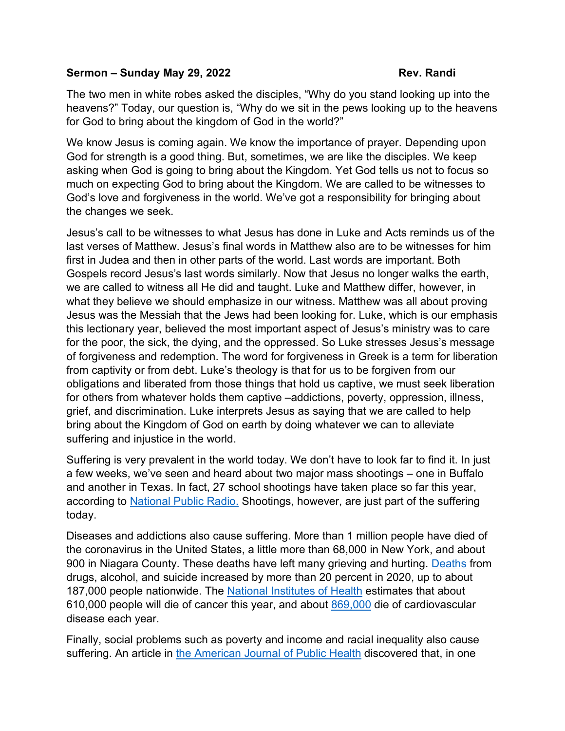## **Sermon – Sunday May 29, 2022 Rev. Randi**

The two men in white robes asked the disciples, "Why do you stand looking up into the heavens?" Today, our question is, "Why do we sit in the pews looking up to the heavens for God to bring about the kingdom of God in the world?"

We know Jesus is coming again. We know the importance of prayer. Depending upon God for strength is a good thing. But, sometimes, we are like the disciples. We keep asking when God is going to bring about the Kingdom. Yet God tells us not to focus so much on expecting God to bring about the Kingdom. We are called to be witnesses to God's love and forgiveness in the world. We've got a responsibility for bringing about the changes we seek.

Jesus's call to be witnesses to what Jesus has done in Luke and Acts reminds us of the last verses of Matthew. Jesus's final words in Matthew also are to be witnesses for him first in Judea and then in other parts of the world. Last words are important. Both Gospels record Jesus's last words similarly. Now that Jesus no longer walks the earth, we are called to witness all He did and taught. Luke and Matthew differ, however, in what they believe we should emphasize in our witness. Matthew was all about proving Jesus was the Messiah that the Jews had been looking for. Luke, which is our emphasis this lectionary year, believed the most important aspect of Jesus's ministry was to care for the poor, the sick, the dying, and the oppressed. So Luke stresses Jesus's message of forgiveness and redemption. The word for forgiveness in Greek is a term for liberation from captivity or from debt. Luke's theology is that for us to be forgiven from our obligations and liberated from those things that hold us captive, we must seek liberation for others from whatever holds them captive –addictions, poverty, oppression, illness, grief, and discrimination. Luke interprets Jesus as saying that we are called to help bring about the Kingdom of God on earth by doing whatever we can to alleviate suffering and injustice in the world.

Suffering is very prevalent in the world today. We don't have to look far to find it. In just a few weeks, we've seen and heard about two major mass shootings – one in Buffalo and another in Texas. In fact, 27 school shootings have taken place so far this year, according to [National Public Radio.](https://www.npr.org/2022/05/24/1101050970/2022-school-shootings-so-far) Shootings, however, are just part of the suffering today.

Diseases and addictions also cause suffering. More than 1 million people have died of the coronavirus in the United States, a little more than 68,000 in New York, and about 900 in Niagara County. These deaths have left many grieving and hurting. [Deaths](https://www.tfah.org/report-details/pain-in-the-nation-2022/) from drugs, alcohol, and suicide increased by more than 20 percent in 2020, up to about 187,000 people nationwide. The [National Institutes of Health](https://seer.cancer.gov/statfacts/html/common.html) estimates that about 610,000 people will die of cancer this year, and about [869,000](https://www.heart.org/-/media/phd-files-2/science-news/2/2021-heart-and-stroke-stat-update/2021_heart_disease_and_stroke_statistics_update_fact_sheet_at_a_glance.pdf) die of cardiovascular disease each year.

Finally, social problems such as poverty and income and racial inequality also cause suffering. An article in [the American Journal of Public Health](https://www.ncbi.nlm.nih.gov/pmc/articles/PMC3134519/) discovered that, in one